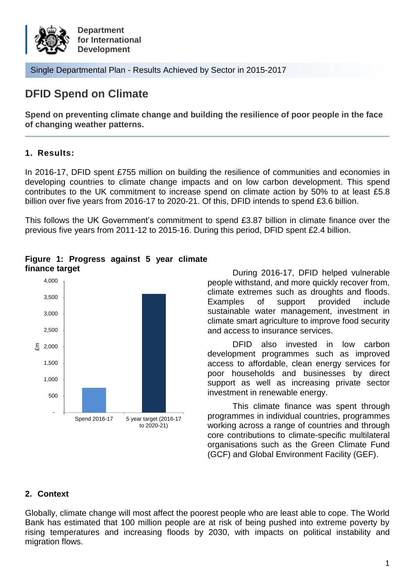

Single Departmental Plan - Results Achieved by Sector in 2015-2017

# **DFID Spend on Climate**

**Spend on preventing climate change and building the resilience of poor people in the face of changing weather patterns.**

# **1. Results:**

In 2016-17, DFID spent £755 million on building the resilience of communities and economies in developing countries to climate change impacts and on low carbon development. This spend contributes to the UK commitment to increase spend on climate action by 50% to at least £5.8 billion over five years from 2016-17 to 2020-21. Of this, DFID intends to spend £3.6 billion.

This follows the UK Government's commitment to spend £3.87 billion in climate finance over the previous five years from 2011-12 to 2015-16. During this period, DFID spent £2.4 billion.





**finance target EXECUTE:** During 2016-17, DFID helped vulnerable people withstand, and more quickly recover from, climate extremes such as droughts and floods. Examples of support provided include sustainable water management, investment in climate smart agriculture to improve food security and access to insurance services.

> DFID also invested in low carbon development programmes such as improved access to affordable, clean energy services for poor households and businesses by direct support as well as increasing private sector investment in renewable energy.

> This climate finance was spent through programmes in individual countries, programmes working across a range of countries and through core contributions to climate-specific multilateral organisations such as the Green Climate Fund (GCF) and Global Environment Facility (GEF).

## **2. Context**

Globally, climate change will most affect the poorest people who are least able to cope. The World Bank has estimated that 100 million people are at risk of being pushed into extreme poverty by rising temperatures and increasing floods by 2030, with impacts on political instability and migration flows.